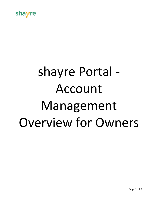

# shayre Portal - Account Management Overview for Owners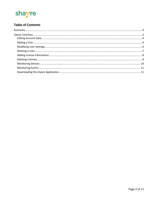

# **Table of Contents**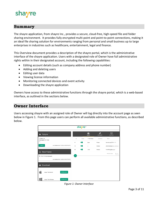# re

# <span id="page-2-0"></span>**Summary**

The shayre application, from shayre Inc., provides a secure, cloud-free, high-speed file and folder sharing environment. It provides fully encrypted multi-point and point-to-point connections, making it an ideal file sharing solution for environments ranging from personal and small business up to large enterprises in industries such as healthcare, entertainment, legal and finance.

This Overview document provides a description of the shayre portal, which is the administrative interface of the shayre application. Users with a designated role of Owner have full administrative rights within in their designated account, including the following capabilities:

- Editing account details (such as company address and phone number)
- Adding and deleting users
- Editing user data
- Viewing license information
- Monitoring connected devices and event activity
- Downloading the shayre application

Owners have access to these administrative functions through the shayre portal, which is a web-based interface, as outlined in the sections below.

# <span id="page-2-1"></span>**Owner Interface**

Users accessing shayre with an assigned role of Owner will log directly into the account page as seen below in Figure 1. From this page users can perform all available administrative functions, as described below.



*Figure 1: Owner Interface*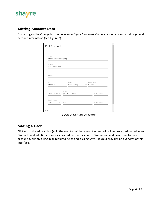

#### <span id="page-3-0"></span>**Editing Account Data**

By clicking on the Change button, as seen in Figure 1 (above), Owners can access and modify general account information (see Figure 2).

| Name*<br>Marlton Test Company |                                      |                          |
|-------------------------------|--------------------------------------|--------------------------|
| Address 1*<br>123 Main Street |                                      |                          |
| Address 2                     |                                      |                          |
| City*<br>Marlton              | State*<br>New Jersey                 | Postal Code*<br>$-08053$ |
|                               | Phone*<br>Country Cod (856) 123-1234 | Extension                |
|                               |                                      |                          |

*Figure 2: Edit Account Screen*

#### <span id="page-3-1"></span>**Adding a User**

Clicking on the add symbol (+) in the user tab of the account screen will allow users designated as an Owner to add additional users, as desired, to their account. Owners can add new users to their account by simply filling in all required fields and clicking Save. Figure 3 provides an overview of this interface.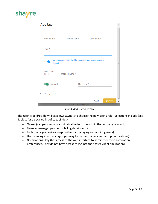# shayre

| <b>Add User</b>                |                                                                |              | ▲                  |
|--------------------------------|----------------------------------------------------------------|--------------|--------------------|
|                                |                                                                |              |                    |
| First name*                    | Middle name Last name*                                         |              |                    |
| Email*                         |                                                                |              |                    |
| Ŧ<br>via SMS.<br>Country Code* | A temporary password will be assigned to the new user and sent |              | Ξ                  |
| ≝ +1                           | $\blacktriangleright$ Mobile Phone *                           |              |                    |
| Enabled                        | User Type*                                                     |              |                    |
| *indicates required field      |                                                                |              |                    |
|                                |                                                                | <b>CLOSE</b> | <b>B</b> SAVE<br>÷ |
|                                | © 2019 MPMI Solutions                                          |              |                    |

*Figure 3: Add User Interface.*

The User Type drop-down box allows Owners to choose the new user's role. Selections include (see Table 1 for a detailed list of capabilities):

- Owner (can perform any administrative function within the company account)
- Finance (manages payments, billing details, etc.)
- Tech (manages devices, responsible for managing and auditing users)
- User (can log into the shayre gateway to see sync events and set up notifications)
- Notifications Only (has access to the web interface to administer their notification preferences. They do not have access to log into the shayre client application)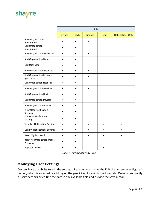# shayre

|                                                | Role      |             |                |             |                           |  |  |
|------------------------------------------------|-----------|-------------|----------------|-------------|---------------------------|--|--|
|                                                | Owner     | <b>Tech</b> | <b>Finance</b> | <b>User</b> | <b>Notifications Only</b> |  |  |
| View Organization<br>Information               | $\bullet$ | $\bullet$   |                |             |                           |  |  |
| <b>Edit Organization</b><br>Information        | $\bullet$ | $\bullet$   |                |             |                           |  |  |
| <b>View Organization Users List</b>            | $\bullet$ | $\bullet$   | $\bullet$      |             |                           |  |  |
| <b>Add Organization Users</b>                  | $\bullet$ |             |                |             |                           |  |  |
| <b>Edit User Data</b>                          | $\bullet$ | $\bullet$   |                |             |                           |  |  |
| <b>View Organization Licenses</b>              |           | $\bullet$   | $\bullet$      |             |                           |  |  |
| <b>Add Organization Licenses</b><br>(purchase) |           |             |                |             |                           |  |  |
| <b>Edit Organization Licenses</b>              | $\bullet$ |             |                |             |                           |  |  |
| <b>View Organization Devices</b>               | $\bullet$ | $\bullet$   | $\bullet$      |             |                           |  |  |
| <b>Add Organization Devices</b>                | $\bullet$ |             |                |             |                           |  |  |
| <b>Edit Organization Devices</b>               | $\bullet$ | $\bullet$   |                |             |                           |  |  |
| <b>View Organization Events</b>                | $\bullet$ |             |                |             |                           |  |  |
| View User Notification<br>Settings             |           |             |                |             |                           |  |  |
| <b>Edit User Notification</b><br>Settings      | $\bullet$ |             |                |             |                           |  |  |
| <b>View My Notification Settings</b>           | $\bullet$ |             |                |             |                           |  |  |
| <b>Edit My Notifications Settings</b>          | $\bullet$ | $\bullet$   |                |             |                           |  |  |
| Reset My Password                              | $\bullet$ |             |                |             |                           |  |  |
| Reset All Organization User's<br>Passwords     |           |             |                |             |                           |  |  |
| <b>Register Device</b>                         |           |             |                |             |                           |  |  |

*Table 1: Functionality by Role*

# <span id="page-5-0"></span>**Modifying User Settings**

Owners have the ability to edit the settings of existing users from the Edit User screen (see Figure 4 below), which is accessed by clicking on the pencil icon located in the User tab. Owners can modify a user's settings by editing the data in any available field and clicking the Save button.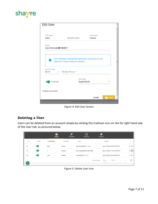

| <b>Edit User</b>                         |                                                                                                     |                      |               |
|------------------------------------------|-----------------------------------------------------------------------------------------------------|----------------------|---------------|
| First name*<br>Dave                      | Middle name                                                                                         | Last name*<br>Franza |               |
| Email*<br>dave.franza@IIIIIYIIII.IIIIIII |                                                                                                     |                      |               |
| Ŧ<br>Country Code*                       | Users wishing to change their passwords should log out and<br>follow the "Forgot Password" prompts. |                      | Ξ             |
| ≣ +1<br>$\overline{\phantom{a}}$         | Mobile Phone *                                                                                      |                      |               |
| Enabled                                  | User Type*                                                                                          | <b>SuperAdmin</b>    |               |
| *indicates required field                |                                                                                                     |                      |               |
|                                          |                                                                                                     | <b>CLOSE</b>         | <b>R</b> SAVE |
|                                          | © 2019 MPMI Solutions                                                                               |                      |               |

*Figure 4: Edit User Screen*

## <span id="page-6-0"></span>**Deleting a User**

Users can be deleted from an account simply by clicking the trashcan icon on the far right hand side of the User tab, as pictured below.

|    |               | 88<br><b>USERS</b> | ≏<br><b>LICENSES</b> | □<br><b>DEVICES</b>       | <b>EVENTS</b>                                                                                 |    |
|----|---------------|--------------------|----------------------|---------------------------|-----------------------------------------------------------------------------------------------|----|
| ID | <b>Status</b> | 个 First Name       | <b>Last Name</b>     | Email                     | Updated                                                                                       |    |
| 41 |               | Dave               | Franza               | dave.franza@imimimimimimi | April 7, 2020 at 4:39:51 PM UTC                                                               | ╱┋ |
| 73 |               | J                  | Murphy               | john.murphy@#HERUFERE.FEW | May 1, 2020 at 11:55:14 PM UTC                                                                | 不宜 |
| 46 |               | John               | Murphy               | mss5456@y !! " *** *** !! | April 8, 2020 at 5:34:45 PM UTC                                                               | ╱┋ |
| ÷  |               |                    |                      |                           | $1-3$ of $3$<br>$10 - 7$<br>Rows per page:<br>$\epsilon$<br><b>Contract Contract Contract</b> | С  |

*Figure 5: Delete User Icon*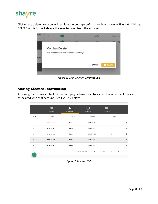

Clicking the delete user icon will result in the pop-up confirmation box shown in Figure 6. Clicking DELETE in this box will delete the selected user from the account.



*Figure 6: User Deletion Confirmation*

## <span id="page-7-0"></span>**Adding License Information**

Accessing the Licenses tab of the account page allows users to see a list of all active licenses associated with that account. See Figure 7 below.

|                | <b>POR</b><br><b>USERS</b> | ω<br><b>LICENSES</b> | <b>DEVICES</b>                        | <b>EVENTS</b>                   |   |
|----------------|----------------------------|----------------------|---------------------------------------|---------------------------------|---|
| 个 ID           | <b>Device</b>              | In Use               | <b>Expiration</b>                     | <b>Type</b>                     |   |
| 1              | unassigned                 | false                | 04/07/2020                            | Ε                               | û |
| 3              | unassigned                 | false                | 04/07/2020                            | P                               | î |
| 5              | unassigned                 | false                | 04/07/2020                            | <b>SB</b>                       | Ô |
| $\overline{7}$ | unassigned                 | false                | 04/07/2020                            | E                               | î |
| 9              | unassigned                 | false                | 04/07/2020                            | P                               | û |
| ÷              |                            |                      | $5 \times 1-5$ of 9<br>Rows per page: | $\rightarrow$<br>$\left\langle$ | C |
|                |                            |                      |                                       |                                 |   |

*Figure 7: Licenses Tab*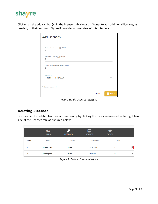

Clicking on the add symbol (+) in the licenses tab allows an Owner to add additional licenses, as needed, to their account. Figure 8 provides an overview of this interface.

| <b>Add Licenses</b>                      |              |               |
|------------------------------------------|--------------|---------------|
| Enterprise License(s) [1-100]*<br>0      |              |               |
|                                          |              |               |
| Personal License(s) [1-100]*<br>$\Omega$ |              |               |
| Small Business License(s) [1-100]*<br>0  |              |               |
|                                          |              |               |
| Expires In*<br>1 Year ~ 10/12/2020       |              |               |
|                                          |              |               |
| *indicates required field                |              |               |
|                                          | <b>CLOSE</b> | <b>R</b> SAVE |

*Figure 8: Add Licenses Interface*

## <span id="page-8-0"></span>**Deleting Licenses**

Licenses can be deleted from an account simply by clicking the trashcan icon on the far right hand side of the Licenses tab, as pictured below.

|      | <b>908</b><br><b>USERS</b> | $\bullet$<br><b>LICENSES</b> | <b>DEVICES</b> | <b>EVENTS</b> |   |
|------|----------------------------|------------------------------|----------------|---------------|---|
| 个 ID | <b>Device</b>              | In Use                       | Expiration     | <b>Type</b>   |   |
|      | unassigned                 | false                        | 04/07/2020     | E             |   |
| 3    | unassigned                 | false                        | 04/07/2020     | P             | û |

*Figure 9: Delete License Interface*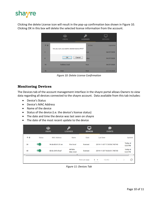# shayre

Clicking the delete License icon will result in the pop-up confirmation box shown in Figure 10. Clicking OK in this box will delete the selected license information from the account.



*Figure 10: Delete License Confirmation*

#### <span id="page-9-0"></span>**Monitoring Devices**

The Devices tab of the account management interface in the shayre portal allows Owners to view data regarding all devices connected to the shayre account. Data available from this tab includes:

- Device's Status
- Device's MAC Address
- Name of the device
- Status of the device (i.e. the device's license status)
- The date and time the device was last seen on shayre
- The date of the most recent update to the device

|                      |               | <b>USERS</b>       | <b>LICENSES</b>            | $\overline{\phantom{a}}$<br><b>DEVICES</b> | <b>EVENTS</b>                  |                            |
|----------------------|---------------|--------------------|----------------------------|--------------------------------------------|--------------------------------|----------------------------|
| 个 ID                 | <b>Status</b> | <b>MAC Address</b> | <b>Name</b>                | <b>State</b>                               | <b>Last Seen</b>               | <b>Updated</b>             |
| 30                   |               | 94:de:80:61:01:ee  | thor.local                 | licensed                                   | 2019-11-03T17:35:56.743740     | Today at<br>5:35 PM        |
| 40                   |               | 00:0c:29:fc:fe:af  | <b>MPMIs-</b><br>Mac.local | licensed                                   | 2019-11-03T18:26:51.745730     | <b>Today</b> at<br>6:26 PM |
| $\blacktriangleleft$ |               |                    | m.                         |                                            |                                |                            |
|                      |               |                    |                            | Rows per page:                             | $5 - \sqrt{ }$<br>$1-2$ of $2$ | C                          |

*Figure 11: Devices Tab*